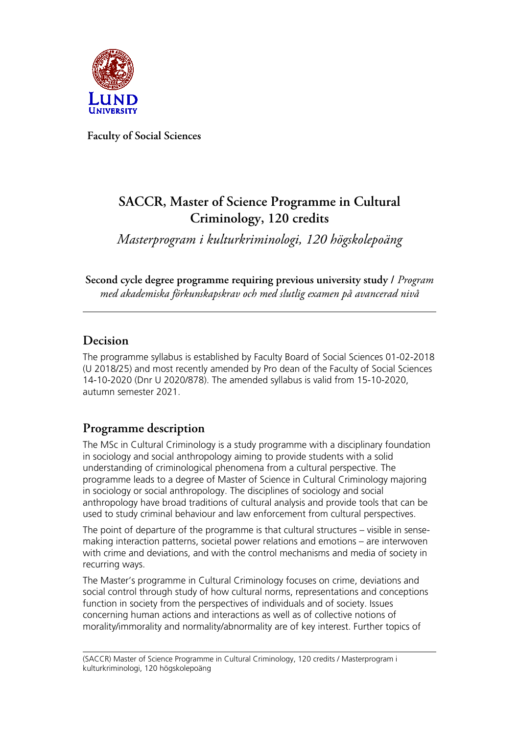

**Faculty of Social Sciences**

# **SACCR, Master of Science Programme in Cultural Criminology, 120 credits**

*Masterprogram i kulturkriminologi, 120 högskolepoäng*

**Second cycle degree programme requiring previous university study /** *Program med akademiska förkunskapskrav och med slutlig examen på avancerad nivå*

## **Decision**

The programme syllabus is established by Faculty Board of Social Sciences 01-02-2018 (U 2018/25) and most recently amended by Pro dean of the Faculty of Social Sciences 14-10-2020 (Dnr U 2020/878). The amended syllabus is valid from 15-10-2020, autumn semester 2021.

## **Programme description**

The MSc in Cultural Criminology is a study programme with a disciplinary foundation in sociology and social anthropology aiming to provide students with a solid understanding of criminological phenomena from a cultural perspective. The programme leads to a degree of Master of Science in Cultural Criminology majoring in sociology or social anthropology. The disciplines of sociology and social anthropology have broad traditions of cultural analysis and provide tools that can be used to study criminal behaviour and law enforcement from cultural perspectives.

The point of departure of the programme is that cultural structures – visible in sensemaking interaction patterns, societal power relations and emotions – are interwoven with crime and deviations, and with the control mechanisms and media of society in recurring ways.

The Master's programme in Cultural Criminology focuses on crime, deviations and social control through study of how cultural norms, representations and conceptions function in society from the perspectives of individuals and of society. Issues concerning human actions and interactions as well as of collective notions of morality/immorality and normality/abnormality are of key interest. Further topics of

(SACCR) Master of Science Programme in Cultural Criminology, 120 credits / Masterprogram i kulturkriminologi, 120 högskolepoäng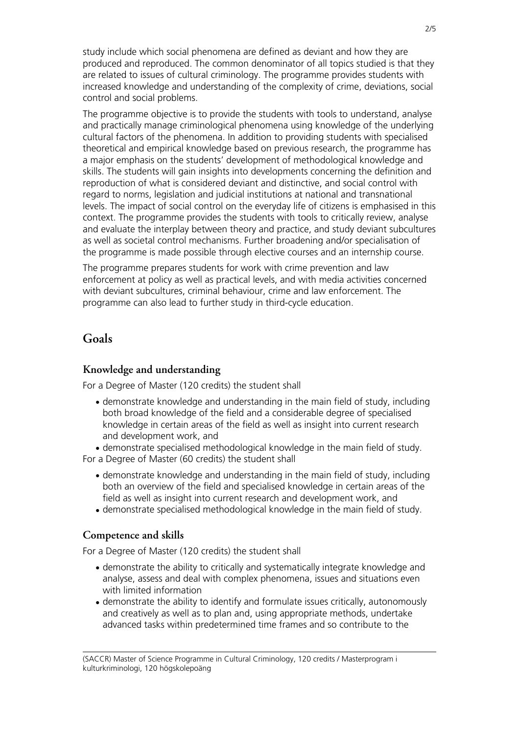study include which social phenomena are defined as deviant and how they are produced and reproduced. The common denominator of all topics studied is that they are related to issues of cultural criminology. The programme provides students with increased knowledge and understanding of the complexity of crime, deviations, social control and social problems.

The programme objective is to provide the students with tools to understand, analyse and practically manage criminological phenomena using knowledge of the underlying cultural factors of the phenomena. In addition to providing students with specialised theoretical and empirical knowledge based on previous research, the programme has a major emphasis on the students' development of methodological knowledge and skills. The students will gain insights into developments concerning the definition and reproduction of what is considered deviant and distinctive, and social control with regard to norms, legislation and judicial institutions at national and transnational levels. The impact of social control on the everyday life of citizens is emphasised in this context. The programme provides the students with tools to critically review, analyse and evaluate the interplay between theory and practice, and study deviant subcultures as well as societal control mechanisms. Further broadening and/or specialisation of the programme is made possible through elective courses and an internship course.

The programme prepares students for work with crime prevention and law enforcement at policy as well as practical levels, and with media activities concerned with deviant subcultures, criminal behaviour, crime and law enforcement. The programme can also lead to further study in third-cycle education.

#### **Goals**

#### **Knowledge and understanding**

For a Degree of Master (120 credits) the student shall

• demonstrate knowledge and understanding in the main field of study, including both broad knowledge of the field and a considerable degree of specialised knowledge in certain areas of the field as well as insight into current research and development work, and

• demonstrate specialised methodological knowledge in the main field of study. For a Degree of Master (60 credits) the student shall

- demonstrate knowledge and understanding in the main field of study, including both an overview of the field and specialised knowledge in certain areas of the field as well as insight into current research and development work, and
- demonstrate specialised methodological knowledge in the main field of study.

#### **Competence and skills**

For a Degree of Master (120 credits) the student shall

- demonstrate the ability to critically and systematically integrate knowledge and analyse, assess and deal with complex phenomena, issues and situations even with limited information
- demonstrate the ability to identify and formulate issues critically, autonomously and creatively as well as to plan and, using appropriate methods, undertake advanced tasks within predetermined time frames and so contribute to the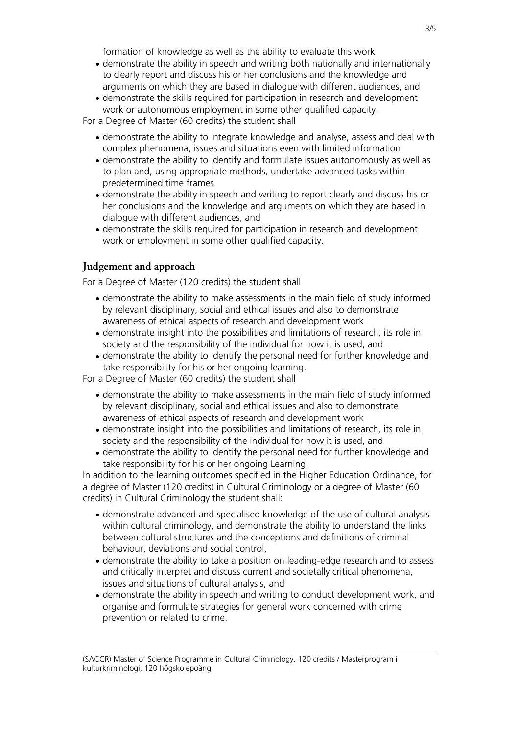formation of knowledge as well as the ability to evaluate this work

- demonstrate the ability in speech and writing both nationally and internationally to clearly report and discuss his or her conclusions and the knowledge and arguments on which they are based in dialogue with different audiences, and
- demonstrate the skills required for participation in research and development work or autonomous employment in some other qualified capacity.

For a Degree of Master (60 credits) the student shall

- demonstrate the ability to integrate knowledge and analyse, assess and deal with complex phenomena, issues and situations even with limited information
- demonstrate the ability to identify and formulate issues autonomously as well as to plan and, using appropriate methods, undertake advanced tasks within predetermined time frames
- demonstrate the ability in speech and writing to report clearly and discuss his or her conclusions and the knowledge and arguments on which they are based in dialogue with different audiences, and
- demonstrate the skills required for participation in research and development work or employment in some other qualified capacity.

#### **Judgement and approach**

For a Degree of Master (120 credits) the student shall

- demonstrate the ability to make assessments in the main field of study informed by relevant disciplinary, social and ethical issues and also to demonstrate awareness of ethical aspects of research and development work
- demonstrate insight into the possibilities and limitations of research, its role in society and the responsibility of the individual for how it is used, and
- demonstrate the ability to identify the personal need for further knowledge and take responsibility for his or her ongoing learning.

For a Degree of Master (60 credits) the student shall

- demonstrate the ability to make assessments in the main field of study informed by relevant disciplinary, social and ethical issues and also to demonstrate awareness of ethical aspects of research and development work
- demonstrate insight into the possibilities and limitations of research, its role in society and the responsibility of the individual for how it is used, and
- demonstrate the ability to identify the personal need for further knowledge and take responsibility for his or her ongoing Learning.

In addition to the learning outcomes specified in the Higher Education Ordinance, for a degree of Master (120 credits) in Cultural Criminology or a degree of Master (60 credits) in Cultural Criminology the student shall:

- demonstrate advanced and specialised knowledge of the use of cultural analysis within cultural criminology, and demonstrate the ability to understand the links between cultural structures and the conceptions and definitions of criminal behaviour, deviations and social control,
- demonstrate the ability to take a position on leading-edge research and to assess and critically interpret and discuss current and societally critical phenomena, issues and situations of cultural analysis, and
- demonstrate the ability in speech and writing to conduct development work, and organise and formulate strategies for general work concerned with crime prevention or related to crime.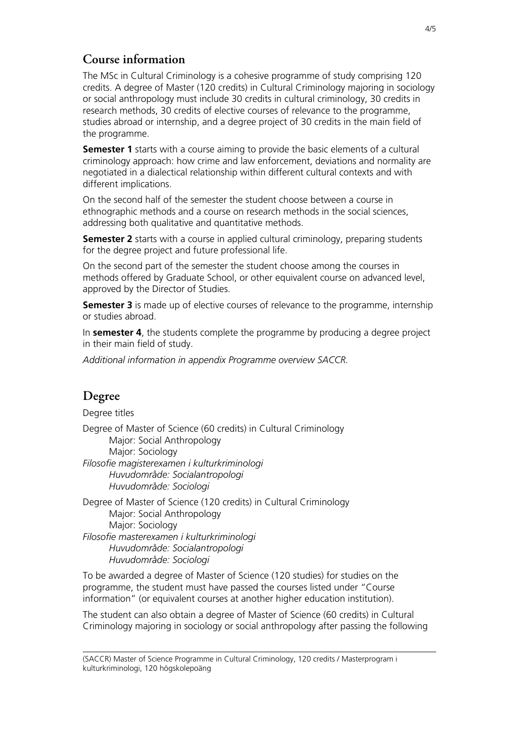### **Course information**

The MSc in Cultural Criminology is a cohesive programme of study comprising 120 credits. A degree of Master (120 credits) in Cultural Criminology majoring in sociology or social anthropology must include 30 credits in cultural criminology, 30 credits in research methods, 30 credits of elective courses of relevance to the programme, studies abroad or internship, and a degree project of 30 credits in the main field of the programme.

**Semester 1** starts with a course aiming to provide the basic elements of a cultural criminology approach: how crime and law enforcement, deviations and normality are negotiated in a dialectical relationship within different cultural contexts and with different implications.

On the second half of the semester the student choose between a course in ethnographic methods and a course on research methods in the social sciences, addressing both qualitative and quantitative methods.

**Semester 2** starts with a course in applied cultural criminology, preparing students for the degree project and future professional life.

On the second part of the semester the student choose among the courses in methods offered by Graduate School, or other equivalent course on advanced level, approved by the Director of Studies.

**Semester 3** is made up of elective courses of relevance to the programme, internship or studies abroad.

In **semester 4**, the students complete the programme by producing a degree project in their main field of study.

*Additional information in appendix Programme overview SACCR.*

## **Degree**

Degree titles

Degree of Master of Science (60 credits) in Cultural Criminology Major: Social Anthropology Major: Sociology *Filosofie magisterexamen i kulturkriminologi Huvudområde: Socialantropologi Huvudområde: Sociologi*

Degree of Master of Science (120 credits) in Cultural Criminology Major: Social Anthropology Major: Sociology *Filosofie masterexamen i kulturkriminologi Huvudområde: Socialantropologi Huvudområde: Sociologi*

To be awarded a degree of Master of Science (120 studies) for studies on the programme, the student must have passed the courses listed under "Course information" (or equivalent courses at another higher education institution).

The student can also obtain a degree of Master of Science (60 credits) in Cultural Criminology majoring in sociology or social anthropology after passing the following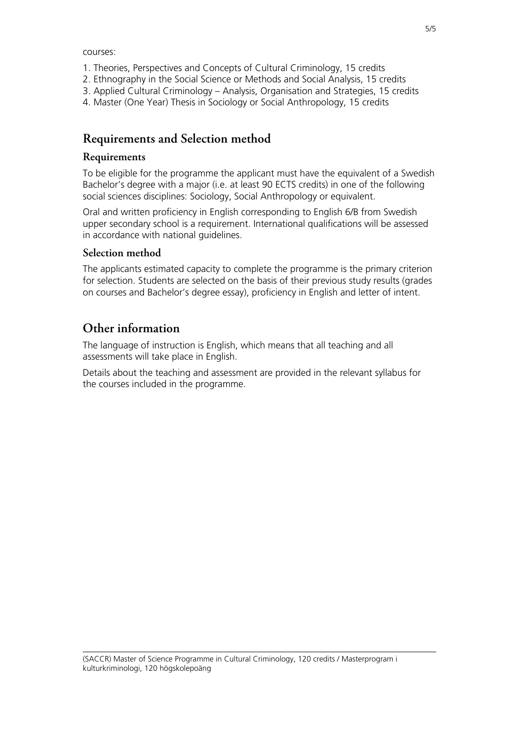courses:

- 1. Theories, Perspectives and Concepts of Cultural Criminology, 15 credits
- 2. Ethnography in the Social Science or Methods and Social Analysis, 15 credits
- 3. Applied Cultural Criminology Analysis, Organisation and Strategies, 15 credits
- 4. Master (One Year) Thesis in Sociology or Social Anthropology, 15 credits

### **Requirements and Selection method**

#### **Requirements**

To be eligible for the programme the applicant must have the equivalent of a Swedish Bachelor's degree with a major (i.e. at least 90 ECTS credits) in one of the following social sciences disciplines: Sociology, Social Anthropology or equivalent.

Oral and written proficiency in English corresponding to English 6/B from Swedish upper secondary school is a requirement. International qualifications will be assessed in accordance with national guidelines.

#### **Selection method**

The applicants estimated capacity to complete the programme is the primary criterion for selection. Students are selected on the basis of their previous study results (grades on courses and Bachelor's degree essay), proficiency in English and letter of intent.

## **Other information**

The language of instruction is English, which means that all teaching and all assessments will take place in English.

Details about the teaching and assessment are provided in the relevant syllabus for the courses included in the programme.